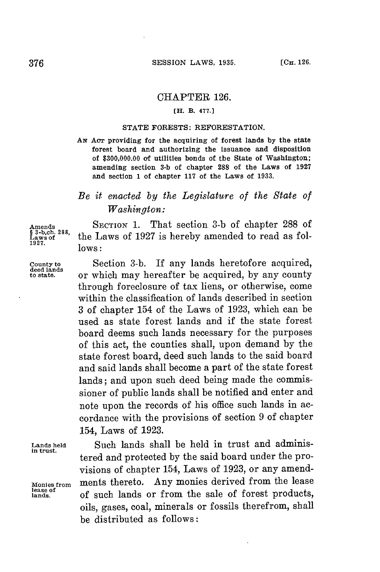## CHAPTER **126.**

## **[H. B. 477.]**

## **STATE FORESTS: REFORESTATION.**

*AN* **Acr providing for the acquiring of forest lands by the state forest** board and authorizing the issuance and disposition of **\$300,000.00 of** utilities bonds of the State of Washington; amending section **3-b** of chapter **288** of the Laws of **1927** and section **1** of chapter **117** of the Laws of **1933.**

## *Be it enacted by the Legislature of the State of Washington:*

**Amends**<br>§ 3-b,ch. 288, **1927. lows:**

**in trust.**

**lease of**

**Amends SECTION 1.** That section **3-b** of chapter **288** of the Laws of 1927 is hereby amended to read as fol-

**County to** Section **3-b. If** any lands heretofore acquired, **deed lands to state.** or which may hereafter be acquired, **by** any county through foreclosure of tax liens, or otherwise, come within the classification of lands described in section **3** of chapter 154 of the Laws of **1923,** which can be used as state forest lands and if the state forest board deems such lands necessary for the purposes of this act, the counties shall, upon demand **by** the state forest board, deed such lands to the said board and said lands shall become a part of the state forest lands; and upon such deed being made the commissioner of public lands shall be notified and enter and note upon the records of his office such lands in accordance with the provisions of section **9** of chapter 154, Laws of **1923.**

Lands held **Such lands shall be held in trust and adminis**tered and protected **by** the said board under the provisions of chapter 154, Laws of **1923,** or any amend-**Monies from** ments thereto. Any monies derived from the lease **lands,** of such lands or from the sale of forest products, oils, gases, coal, minerals or fossils therefrom, shall be distributed as follows: